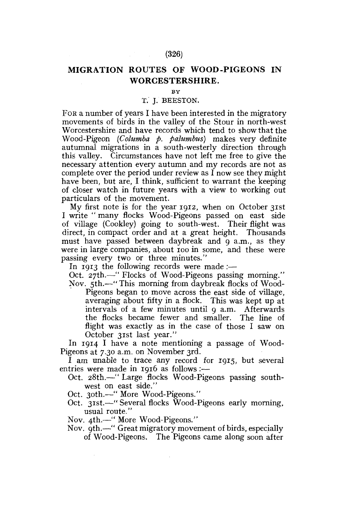## **MIGRATION ROUTES OF WOOD-PIGEONS IN WORCESTERSHIRE.**

**BY** 

## T. J. BEESTON,

FOR a number of years I have been interested in the migratory movements of birds in the valley of the Stour in north-west Worcestershire and have records which tend to show that the Wood-Pigeon *(Columba p. palumbus)* makes very definite autumnal migrations in a south-westerly direction through this valley. Circumstances have not left me free to give the necessary attention every autumn and my records are not as complete over the period under review as  $\tilde{I}$  now see they might have been, but are, I think, sufficient to warrant the keeping of closer watch in future years with a view to working out particulars of the movement.

My first note is for the year 1912, when on October 31st I write " many flocks Wood-Pigeons passed on east side of village (Cookley) going to south-west. Their flight was direct, in compact order and at a great height. Thousands must have passed between daybreak and 9 a.m., as they were in large companies, about 100 in some, and these were passing every two or three minutes."

In 1913 the following records were made :—

Oct. 27th.—" Flocks of Wood-Pigeons passing morning."

Nov. 5th.—" This morning from daybreak flocks of Wood-Pigeons began to move across the east side of village, averaging about fifty in a flock. This was kept up at intervals of a few minutes until 9 a.m. Afterwards the flocks became fewer and smaller. The line of flight was exactly as in the case of those I saw on October 31st last year."

In 1914 I have a note mentioning a passage of Wood-Pigeons at 7.30 a.m. on November 3rd.

I am unable to trace any record for 1915, but several entries were made in 1916 as follows:-

- Oct. 28th.—" Large flocks Wood-Pigeons passing southwest on east side."
- Oct. 30th.—" More Wood-Pigeons."
- Oct. 31st.—" Several flocks Wood-Pigeons early morning, usual route."

Nov. 4th.—" More Wood-Pigeons."

Nov. 9th.—" Great migratory movement of birds, especially of Wood-Pigeons. The Pigeons came along soon after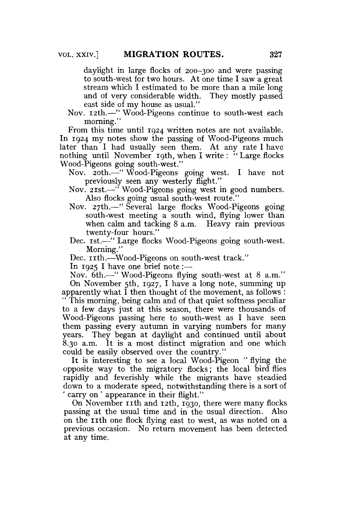daylight in large flocks of 200-300 and were passing to south-west for two hours. At one time I saw a great stream which I estimated to be more than a mile long and of very considerable width. They mostly passed east side of my house as usual."

Nov. 12th.—" Wood-Pigeons continue to south-west each morning."

From this time until 1924 written notes are not available. In 1924 my notes show the passing of Wood-Pigeons much later than I had usually seen them. At any rate I have nothing until November 19th, when I write : " Large flocks Wood-Pigeons going south-west."

Nov. 20th.—" Wood-Pigeons going west. I have not previously seen any westerly flight."

Nov. 21st.—•" Wood-Pigeons going west in good numbers. Also flocks going usual south-west route."

- Nov. 27th.—" Several large flocks Wood-Pigeons going south-west meeting a south wind, flying lower than when calm and tacking 8 a.m. Heavy rain previous twenty-four hours."
- Dec. 1st.<sup>---"</sup> Large flocks Wood-Pigeons going south-west. Morning."

Dec. rrth.—Wood-Pigeons on south-west track."

In 1925 I have one brief note:—

Nov. 6th.—" Wood-Pigeons flying south-west at 8 a.m." On November 5th, 1927, I have a long note, summing up

apparently what I then thought of the movement, as follows : This morning, being calm and of that quiet softness peculiar to a few days just at this season, there were thousands of Wood-Pigeons passing here to south-west as I have seen them passing every autumn in varying numbers for many years. They began at daylight and continued until about 8.30 a.m. It is a most distinct migration and one which could be easily observed over the country."

It is interesting to see a local Wood-Pigeon " flying the opposite way to the migratory flocks; the local bird flies rapidly and feverishly while the migrants have steadied down to a moderate speed, notwithstanding there is a sort of ' carry on ' appearance in their flight."

On November 11th and 12th, 1930, there were many flocks passing at the usual time and in the usual direction. Also on the 11th one flock flying east to west, as was noted on a previous occasion. No return movement has been detected at any time.